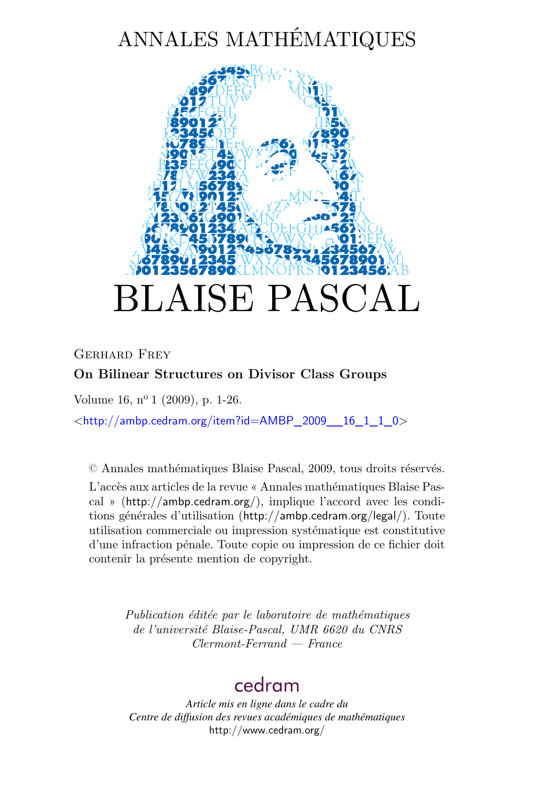## ANNALES MATHÉMATIQUES



## Gerhard Frey **On Bilinear Structures on Divisor Class Groups**

Volume 16, nº 1 (2009), p. 1-26.

 $\lt$ [http://ambp.cedram.org/item?id=AMBP\\_2009\\_\\_16\\_1\\_1\\_0](http://ambp.cedram.org/item?id=AMBP_2009__16_1_1_0)>

© Annales mathématiques Blaise Pascal, 2009, tous droits réservés.

L'accès aux articles de la revue « Annales mathématiques Blaise Pascal » (<http://ambp.cedram.org/>), implique l'accord avec les conditions générales d'utilisation (<http://ambp.cedram.org/legal/>). Toute utilisation commerciale ou impression systématique est constitutive d'une infraction pénale. Toute copie ou impression de ce fichier doit contenir la présente mention de copyright.

> *Publication éditée par le laboratoire de mathématiques de l'université Blaise-Pascal, UMR 6620 du CNRS Clermont-Ferrand — France*

## [cedram](http://www.cedram.org/)

*Article mis en ligne dans le cadre du Centre de diffusion des revues académiques de mathématiques* <http://www.cedram.org/>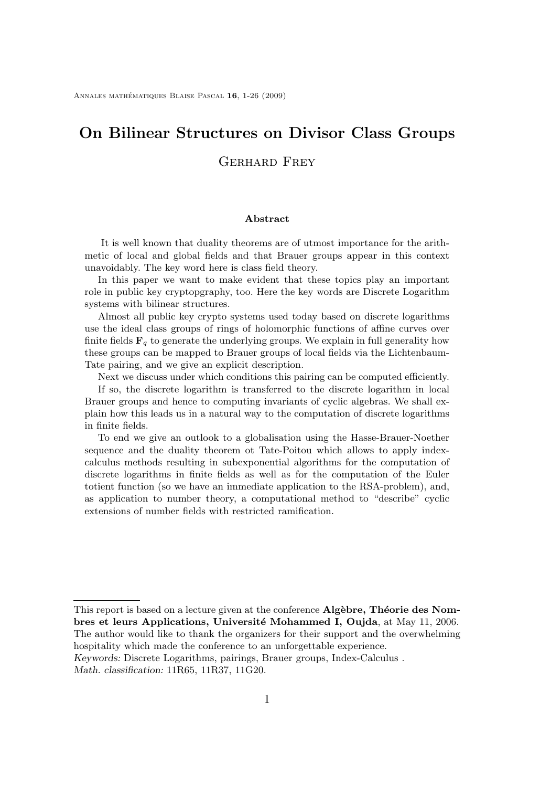# **On Bilinear Structures on Divisor Class Groups**

### Gerhard Frey

#### **Abstract**

It is well known that duality theorems are of utmost importance for the arithmetic of local and global fields and that Brauer groups appear in this context unavoidably. The key word here is class field theory.

In this paper we want to make evident that these topics play an important role in public key cryptopgraphy, too. Here the key words are Discrete Logarithm systems with bilinear structures.

Almost all public key crypto systems used today based on discrete logarithms use the ideal class groups of rings of holomorphic functions of affine curves over finite fields  $\mathbf{F}_q$  to generate the underlying groups. We explain in full generality how these groups can be mapped to Brauer groups of local fields via the Lichtenbaum-Tate pairing, and we give an explicit description.

Next we discuss under which conditions this pairing can be computed efficiently. If so, the discrete logarithm is transferred to the discrete logarithm in local Brauer groups and hence to computing invariants of cyclic algebras. We shall explain how this leads us in a natural way to the computation of discrete logarithms in finite fields.

To end we give an outlook to a globalisation using the Hasse-Brauer-Noether sequence and the duality theorem ot Tate-Poitou which allows to apply indexcalculus methods resulting in subexponential algorithms for the computation of discrete logarithms in finite fields as well as for the computation of the Euler totient function (so we have an immediate application to the RSA-problem), and, as application to number theory, a computational method to "describe" cyclic extensions of number fields with restricted ramification.

This report is based on a lecture given at the conference **Algèbre, Théorie des Nombres et leurs Applications, Université Mohammed I, Oujda**, at May 11, 2006. The author would like to thank the organizers for their support and the overwhelming hospitality which made the conference to an unforgettable experience.

*Keywords:* Discrete Logarithms, pairings, Brauer groups, Index-Calculus .

*Math. classification:* 11R65, 11R37, 11G20.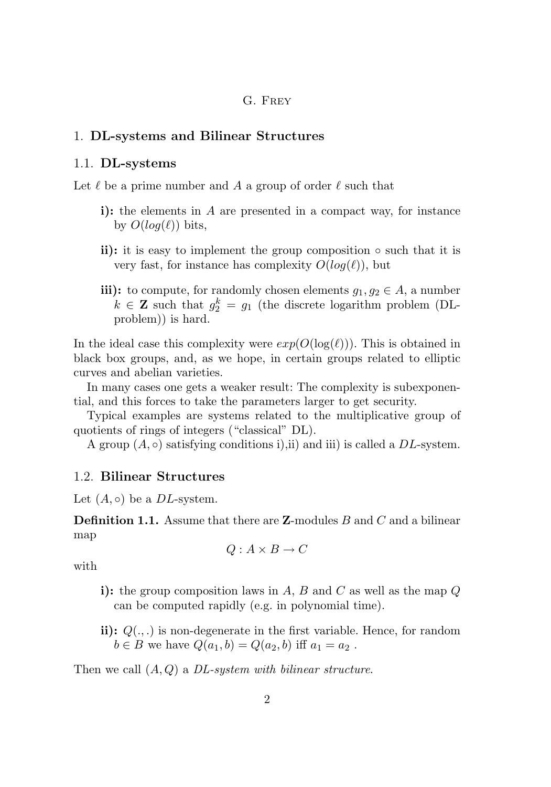#### 1. **DL-systems and Bilinear Structures**

#### 1.1. **DL-systems**

Let  $\ell$  be a prime number and A a group of order  $\ell$  such that

- **i):** the elements in A are presented in a compact way, for instance by  $O(log(\ell))$  bits,
- **ii):** it is easy to implement the group composition such that it is very fast, for instance has complexity  $O(log(\ell))$ , but
- **iii):** to compute, for randomly chosen elements  $g_1, g_2 \in A$ , a number  $k \in \mathbb{Z}$  such that  $g_2^k = g_1$  (the discrete logarithm problem (DLproblem)) is hard.

In the ideal case this complexity were  $exp(O(log(\ell)))$ . This is obtained in black box groups, and, as we hope, in certain groups related to elliptic curves and abelian varieties.

In many cases one gets a weaker result: The complexity is subexponential, and this forces to take the parameters larger to get security.

Typical examples are systems related to the multiplicative group of quotients of rings of integers ("classical" DL).

A group  $(A, \circ)$  satisfying conditions i), ii) and iii) is called a DL-system.

#### 1.2. **Bilinear Structures**

Let  $(A, \circ)$  be a *DL*-system.

**Definition 1.1.** Assume that there are **Z**-modules B and C and a bilinear map

$$
Q: A \times B \to C
$$

with

- **i):** the group composition laws in A, B and C as well as the map Q can be computed rapidly (e.g. in polynomial time).
- **ii):** Q(., .) is non-degenerate in the first variable. Hence, for random  $b \in B$  we have  $Q(a_1, b) = Q(a_2, b)$  iff  $a_1 = a_2$ .

Then we call (A, Q) a *DL-system with bilinear structure*.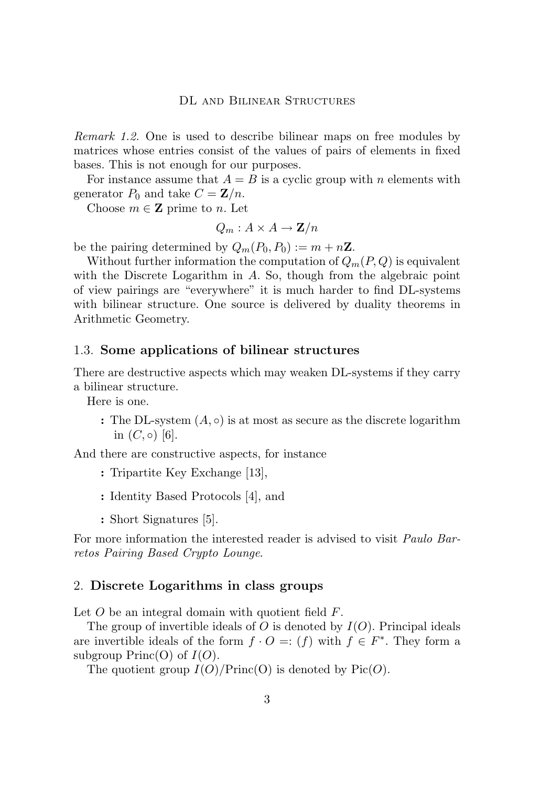*Remark 1.2.* One is used to describe bilinear maps on free modules by matrices whose entries consist of the values of pairs of elements in fixed bases. This is not enough for our purposes.

For instance assume that  $A = B$  is a cyclic group with n elements with generator  $P_0$  and take  $C = \mathbf{Z}/n$ .

Choose  $m \in \mathbb{Z}$  prime to n. Let

$$
Q_m: A \times A \to \mathbf{Z}/n
$$

be the pairing determined by  $Q_m(P_0, P_0) := m + n\mathbf{Z}$ .

Without further information the computation of  $Q_m(P,Q)$  is equivalent with the Discrete Logarithm in A. So, though from the algebraic point of view pairings are "everywhere" it is much harder to find DL-systems with bilinear structure. One source is delivered by duality theorems in Arithmetic Geometry.

#### 1.3. **Some applications of bilinear structures**

There are destructive aspects which may weaken DL-systems if they carry a bilinear structure.

Here is one.

**:** The DL-system  $(A, \circ)$  is at most as secure as the discrete logarithm in  $(C, \circ)$  [\[6\]](#page-25-0).

And there are constructive aspects, for instance

- **:** Tripartite Key Exchange [\[13\]](#page-25-0),
- **:** Identity Based Protocols [\[4\]](#page-25-0), and
- **:** Short Signatures [\[5\]](#page-25-0).

For more information the interested reader is advised to visit *Paulo Barretos Pairing Based Crypto Lounge*.

#### 2. **Discrete Logarithms in class groups**

Let  $O$  be an integral domain with quotient field  $F$ .

The group of invertible ideals of O is denoted by  $I(O)$ . Principal ideals are invertible ideals of the form  $f \cdot O =: (f)$  with  $f \in F^*$ . They form a subgroup  $Princ(O)$  of  $I(O)$ .

The quotient group  $I(O)/\text{Princ}(O)$  is denoted by  $\text{Pic}(O)$ .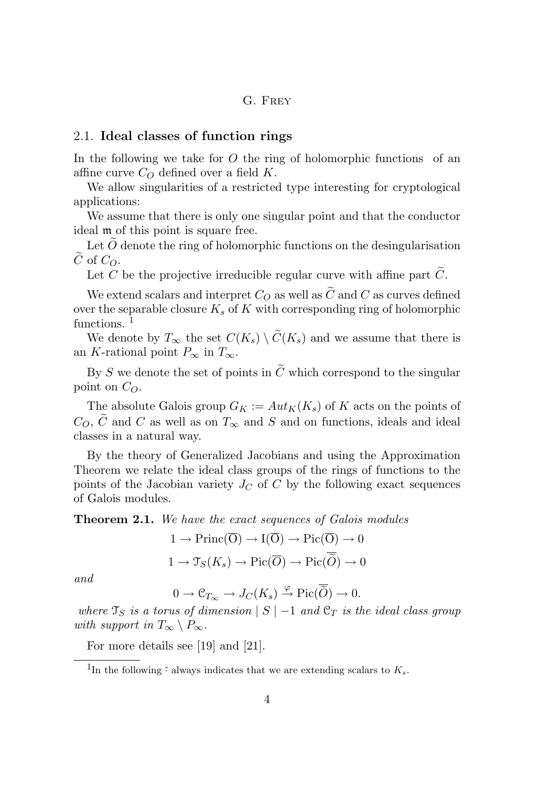#### <span id="page-4-0"></span>2.1. **Ideal classes of function rings**

In the following we take for  $O$  the ring of holomorphic functions of an affine curve  $C_O$  defined over a field K.

We allow singularities of a restricted type interesting for cryptological applications:

We assume that there is only one singular point and that the conductor ideal m of this point is square free.

Let  $O$  denote the ring of holomorphic functions on the desingularisation  $\tilde{C}$  of  $C_{\Omega}$ .

Let C be the projective irreducible regular curve with affine part  $\tilde{C}$ .

We extend scalars and interpret  $C_O$  as well as  $\tilde{C}$  and  $C$  as curves defined over the separable closure  $K_s$  of K with corresponding ring of holomorphic functions.<sup>1</sup>

We denote by  $T_{\infty}$  the set  $C(K_s) \setminus \widetilde{C}(K_s)$  and we assume that there is an K-rational point  $P_{\infty}$  in  $T_{\infty}$ .

By S we denote the set of points in  $\tilde{C}$  which correspond to the singular point on  $C_{\Omega}$ .

The absolute Galois group  $G_K := Aut_K(K_s)$  of K acts on the points of  $C_O$ ,  $\tilde{C}$  and  $C$  as well as on  $T_{\infty}$  and  $S$  and on functions, ideals and ideal classes in a natural way.

By the theory of Generalized Jacobians and using the Approximation Theorem we relate the ideal class groups of the rings of functions to the points of the Jacobian variety  $J_C$  of C by the following exact sequences of Galois modules.

**Theorem 2.1.** *We have the exact sequences of Galois modules*

$$
1 \to \text{Princ}(\overline{O}) \to I(\overline{O}) \to \text{Pic}(\overline{O}) \to 0
$$

$$
1 \to \mathcal{T}_S(K_s) \to \text{Pic}(\overline{O}) \to \text{Pic}(\overline{\tilde{O}}) \to 0
$$

*and*

 $0 \to \mathcal{C}_{T_{\infty}} \to J_C(K_s) \stackrel{\varphi}{\to} Pic(\overline{\widetilde{O}}) \to 0.$ 

*where*  $\mathcal{T}_S$  *is a torus of dimension* | S | −1 *and*  $\mathcal{C}_T$  *is the ideal class group with support in*  $T_{\infty} \setminus P_{\infty}$ .

For more details see [\[19\]](#page-26-0) and [\[21\]](#page-26-0).

<sup>&</sup>lt;sup>1</sup>In the following  $\overline{\cdot}$  always indicates that we are extending scalars to  $K_s$ .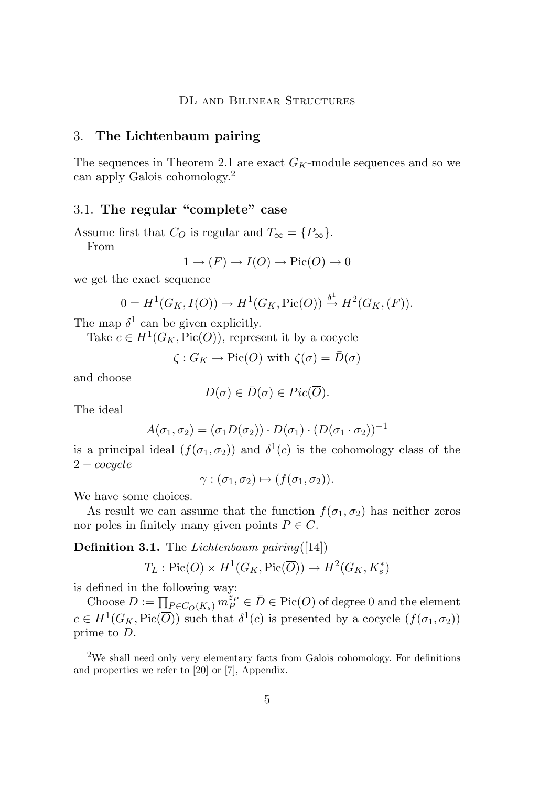#### 3. **The Lichtenbaum pairing**

The sequences in Theorem [2.1](#page-4-0) are exact  $G_K$ -module sequences and so we can apply Galois cohomology.<sup>2</sup>

#### 3.1. **The regular "complete" case**

Assume first that  $C_O$  is regular and  $T_{\infty} = \{P_{\infty}\}.$ 

From

$$
1 \to (\overline{F}) \to I(\overline{O}) \to \mathrm{Pic}(\overline{O}) \to 0
$$

we get the exact sequence

$$
0 = H^1(G_K, I(\overline{O})) \to H^1(G_K, \text{Pic}(\overline{O})) \stackrel{\delta^1}{\to} H^2(G_K, (\overline{F})).
$$

The map  $\delta^1$  can be given explicitly.

Take  $c \in H^1(G_K, \text{Pic}(\overline{O}))$ , represent it by a cocycle

 $\zeta: G_K \to \mathrm{Pic}(\overline{O})$  with  $\zeta(\sigma) = \overline{D}(\sigma)$ 

and choose

$$
D(\sigma) \in \overline{D}(\sigma) \in Pic(\overline{O}).
$$

The ideal

$$
A(\sigma_1, \sigma_2) = (\sigma_1 D(\sigma_2)) \cdot D(\sigma_1) \cdot (D(\sigma_1 \cdot \sigma_2))^{-1}
$$

is a principal ideal  $(f(\sigma_1, \sigma_2))$  and  $\delta^1(c)$  is the cohomology class of the  $2 - cocycle$ 

$$
\gamma : (\sigma_1, \sigma_2) \mapsto (f(\sigma_1, \sigma_2)).
$$

We have some choices.

As result we can assume that the function  $f(\sigma_1, \sigma_2)$  has neither zeros nor poles in finitely many given points  $P \in C$ .

**Definition 3.1.** The *Lichtenbaum pairing*([\[14\]](#page-25-0))

$$
T_L: Pic(O) \times H^1(G_K, Pic(\overline{O})) \to H^2(G_K, K_s^*)
$$

is defined in the following way:

Choose  $D := \prod_{P \in C_O(K_s)} m_P^{z_P} \in \overline{D} \in Pic(O)$  of degree 0 and the element  $c \in H^1(G_K, \text{Pic}(\overline{O}))$  such that  $\delta^1(c)$  is presented by a cocycle  $(f(\sigma_1, \sigma_2))$ prime to D.

<sup>&</sup>lt;sup>2</sup>We shall need only very elementary facts from Galois cohomology. For definitions and properties we refer to [\[20\]](#page-26-0) or [\[7\]](#page-25-0), Appendix.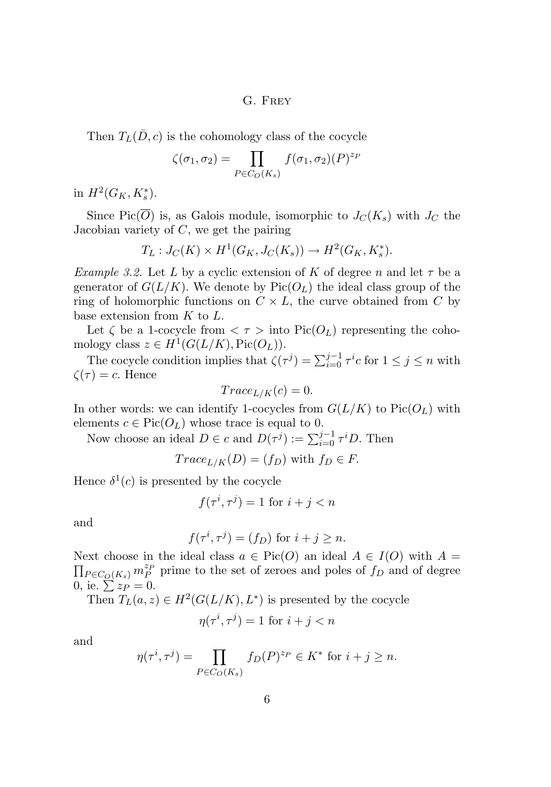<span id="page-6-0"></span>Then  $T_L(\bar{D}, c)$  is the cohomology class of the cocycle

$$
\zeta(\sigma_1, \sigma_2) = \prod_{P \in C_O(K_s)} f(\sigma_1, \sigma_2)(P)^{z_P}
$$

in  $H^2(G_K, K_s^*)$ .

Since Pic( $\overline{O}$ ) is, as Galois module, isomorphic to  $J_C(K_s)$  with  $J_C$  the Jacobian variety of  $C$ , we get the pairing

$$
T_L: J_C(K) \times H^1(G_K, J_C(K_s)) \to H^2(G_K, K_s^*).
$$

*Example 3.2.* Let L by a cyclic extension of K of degree n and let  $\tau$  be a generator of  $G(L/K)$ . We denote by  $Pic(O_L)$  the ideal class group of the ring of holomorphic functions on  $C \times L$ , the curve obtained from C by base extension from  $K$  to  $L$ .

Let  $\zeta$  be a 1-cocycle from  $\langle \tau \rangle$  into Pic( $O_L$ ) representing the cohomology class  $z \in H^1(G(L/K), Pic(O_L)).$ 

The cocycle condition implies that  $\zeta(\tau^j) = \sum_{i=0}^{j-1} \tau^i c$  for  $1 \leq j \leq n$  with  $\zeta(\tau) = c$ . Hence

$$
Trace_{L/K}(c) = 0.
$$

In other words: we can identify 1-cocycles from  $G(L/K)$  to  $Pic(O_L)$  with elements  $c \in Pic(O_L)$  whose trace is equal to 0.

Now choose an ideal  $D \in c$  and  $D(\tau^j) := \sum_{i=0}^{j-1} \tau^i D$ . Then

$$
Trace_{L/K}(D) = (f_D) \text{ with } f_D \in F.
$$

Hence  $\delta^1(c)$  is presented by the cocycle

$$
f(\tau^i, \tau^j) = 1 \text{ for } i + j < n
$$

and

$$
f(\tau^i, \tau^j) = (f_D) \text{ for } i + j \ge n.
$$

Next choose in the ideal class  $a \in Pic(O)$  an ideal  $A \in I(O)$  with  $A =$  $\prod_{P \in C_O(K_s)} m_P^{z_P}$  prime to the set of zeroes and poles of  $f_D$  and of degree 0, ie.  $\sum z_P = 0$ .

Then  $T_L(a, z) \in H^2(G(L/K), L^*)$  is presented by the cocycle

$$
\eta(\tau^i, \tau^j) = 1 \text{ for } i + j < n
$$

and

$$
\eta(\tau^i, \tau^j) = \prod_{P \in C_O(K_s)} f_D(P)^{z_P} \in K^* \text{ for } i + j \ge n.
$$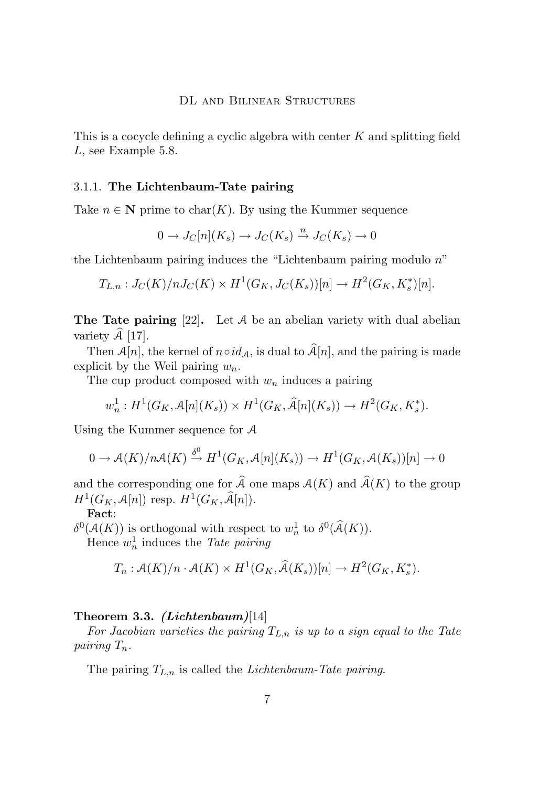<span id="page-7-0"></span>This is a cocycle defining a cyclic algebra with center  $K$  and splitting field L, see Example [5.8.](#page-16-0)

#### 3.1.1. **The Lichtenbaum-Tate pairing**

Take  $n \in \mathbb{N}$  prime to char(K). By using the Kummer sequence

$$
0 \to J_C[n](K_s) \to J_C(K_s) \stackrel{n}{\to} J_C(K_s) \to 0
$$

the Lichtenbaum pairing induces the "Lichtenbaum pairing modulo n"

$$
T_{L,n}: J_C(K)/n J_C(K) \times H^1(G_K, J_C(K_s))[n] \to H^2(G_K, K_s^*)[n].
$$

**The Tate pairing** [\[22\]](#page-26-0). Let A be an abelian variety with dual abelian variety  $\hat{A}$  [\[17\]](#page-26-0).

Then  $A[n]$ , the kernel of  $n \circ id_A$ , is dual to  $\widehat{A}[n]$ , and the pairing is made explicit by the Weil pairing  $w_n$ .

The cup product composed with  $w_n$  induces a pairing

$$
w_n^1: H^1(G_K, \mathcal{A}[n](K_s)) \times H^1(G_K, \widehat{\mathcal{A}}[n](K_s)) \to H^2(G_K, K_s^*).
$$

Using the Kummer sequence for A

$$
0 \to \mathcal{A}(K)/n\mathcal{A}(K) \xrightarrow{\delta^0} H^1(G_K, \mathcal{A}[n](K_s)) \to H^1(G_K, \mathcal{A}(K_s))[n] \to 0
$$

and the corresponding one for  $\widehat{A}$  one maps  $A(K)$  and  $\widehat{A}(K)$  to the group  $H^1(G_K, \mathcal{A}[n])$  resp.  $H^1(G_K, \widehat{\mathcal{A}}[n])$ .

**Fact**:

 $\delta^0(A(K))$  is orthogonal with respect to  $w_n^1$  to  $\delta^0(\widehat{A}(K))$ .

Hence w 1 n induces the *Tate pairing*

$$
T_n: \mathcal{A}(K)/n \cdot \mathcal{A}(K) \times H^1(G_K, \widehat{\mathcal{A}}(K_s))[n] \to H^2(G_K, K_s^*).
$$

#### **Theorem 3.3.** *(Lichtenbaum)*[\[14\]](#page-25-0)

*For Jacobian varieties the pairing* TL,n *is up to a sign equal to the Tate pairing*  $T_n$ .

The pairing TL,n is called the *Lichtenbaum-Tate pairing*.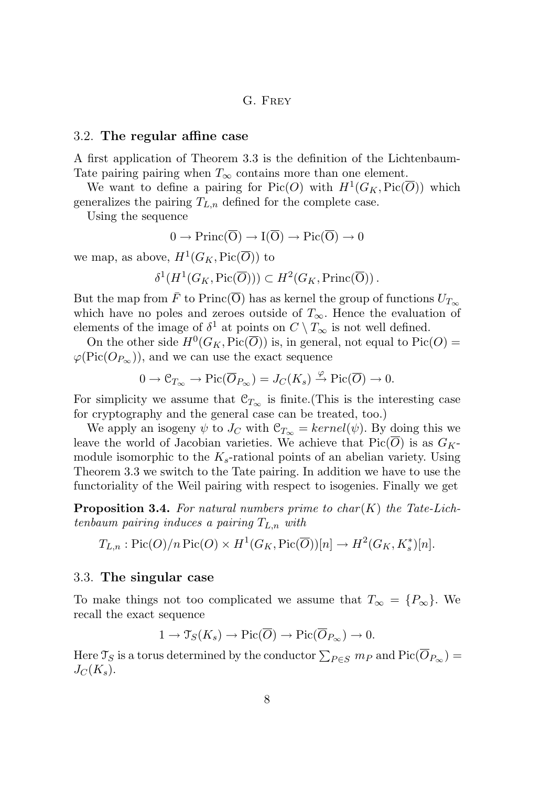#### 3.2. **The regular affine case**

A first application of Theorem [3.3](#page-7-0) is the definition of the Lichtenbaum-Tate pairing pairing when  $T_{\infty}$  contains more than one element.

We want to define a pairing for Pic(O) with  $H^1(G_K, \text{Pic}(\overline{O}))$  which generalizes the pairing  $T_{L,n}$  defined for the complete case.

Using the sequence

$$
0 \to \text{Princ}(\overline{O}) \to I(\overline{O}) \to \text{Pic}(\overline{O}) \to 0
$$

we map, as above,  $H^1(G_K, \text{Pic}(\overline{O}))$  to

 $\delta^1(H^1(G_K, \text{Pic}(\overline{O}))) \subset H^2(G_K, \text{Princ}(\overline{O}))$ .

But the map from  $\bar{F}$  to Princ( $\overline{O}$ ) has as kernel the group of functions  $U_{T_{\infty}}$ which have no poles and zeroes outside of  $T_{\infty}$ . Hence the evaluation of elements of the image of  $\delta^1$  at points on  $C \setminus T_\infty$  is not well defined.

On the other side  $H^0(G_K, \text{Pic}(\overline{O}))$  is, in general, not equal to  $\text{Pic}(O)$  =  $\varphi(\text{Pic}(O_{P_{\infty}}))$ , and we can use the exact sequence

$$
0 \to \mathcal{C}_{T_{\infty}} \to \mathrm{Pic}(\overline{O}_{P_{\infty}}) = J_C(K_s) \stackrel{\varphi}{\to} \mathrm{Pic}(\overline{O}) \to 0.
$$

For simplicity we assume that  $\mathcal{C}_{T_{\infty}}$  is finite.(This is the interesting case for cryptography and the general case can be treated, too.)

We apply an isogeny  $\psi$  to  $J_C$  with  $\mathcal{C}_{T_{\infty}} = kernel(\psi)$ . By doing this we leave the world of Jacobian varieties. We achieve that  $Pic(O)$  is as  $G_K$ module isomorphic to the  $K_s$ -rational points of an abelian variety. Using Theorem [3.3](#page-7-0) we switch to the Tate pairing. In addition we have to use the functoriality of the Weil pairing with respect to isogenies. Finally we get

**Proposition 3.4.** For natural numbers prime to char(K) the Tate-Lich*tenbaum pairing induces a pairing* TL,n *with*

$$
T_{L,n} : \mathrm{Pic}(O)/n \,\mathrm{Pic}(O) \times H^1(G_K, \mathrm{Pic}(\overline{O}))[n] \to H^2(G_K, K_s^*)[n].
$$

#### 3.3. **The singular case**

To make things not too complicated we assume that  $T_{\infty} = \{P_{\infty}\}\.$  We recall the exact sequence

$$
1 \to \mathcal{T}_S(K_s) \to Pic(\overline{O}) \to Pic(\overline{O}_{P_{\infty}}) \to 0.
$$

Here  $\mathfrak{T}_S$  is a torus determined by the conductor  $\sum_{P\in S}m_P$  and  $\mathrm{Pic}(\overline{O}_{P_\infty})=$  $J_C(K_s)$ .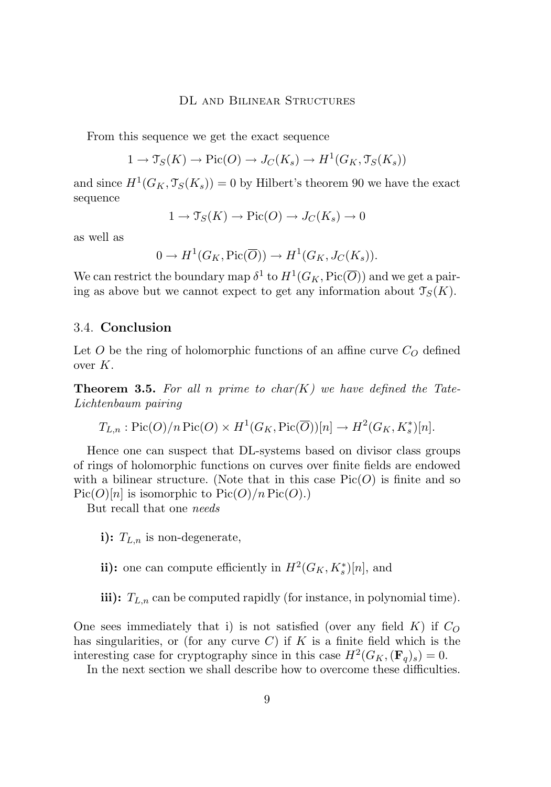From this sequence we get the exact sequence

$$
1 \to \mathcal{T}_S(K) \to Pic(O) \to J_C(K_s) \to H^1(G_K, \mathcal{T}_S(K_s))
$$

and since  $H^1(G_K, \mathcal{T}_S(K_s)) = 0$  by Hilbert's theorem 90 we have the exact sequence

$$
1 \to \mathcal{T}_S(K) \to Pic(O) \to J_C(K_s) \to 0
$$

as well as

$$
0 \to H^1(G_K, \text{Pic}(\overline{O})) \to H^1(G_K, J_C(K_s)).
$$

We can restrict the boundary map  $\delta^1$  to  $H^1(G_K,\text{Pic}(\overline{O}))$  and we get a pairing as above but we cannot expect to get any information about  $\mathcal{T}_{S}(K)$ .

#### 3.4. **Conclusion**

Let  $O$  be the ring of holomorphic functions of an affine curve  $C_O$  defined over  $K$ .

**Theorem 3.5.** For all n prime to char $(K)$  we have defined the Tate-*Lichtenbaum pairing*

$$
T_{L,n}: \mathrm{Pic}(O)/n \,\mathrm{Pic}(O) \times H^1(G_K,\mathrm{Pic}(\overline{O}))[n] \to H^2(G_K,K_s^*)[n].
$$

Hence one can suspect that DL-systems based on divisor class groups of rings of holomorphic functions on curves over finite fields are endowed with a bilinear structure. (Note that in this case  $Pic(O)$  is finite and so  $Pic(O)[n]$  is isomorphic to  $Pic(O)/nPic(O)$ .

But recall that one *needs*

- **i):**  $T_{L,n}$  is non-degenerate,
- **ii):** one can compute efficiently in  $H^2(G_K, K_s^*)[n]$ , and
- **iii):**  $T_{L,n}$  can be computed rapidly (for instance, in polynomial time).

One sees immediately that i) is not satisfied (over any field  $K$ ) if  $C_O$ has singularities, or (for any curve  $C$ ) if  $K$  is a finite field which is the interesting case for cryptography since in this case  $H^2(G_K, (\mathbf{F}_q)_s) = 0$ .

In the next section we shall describe how to overcome these difficulties.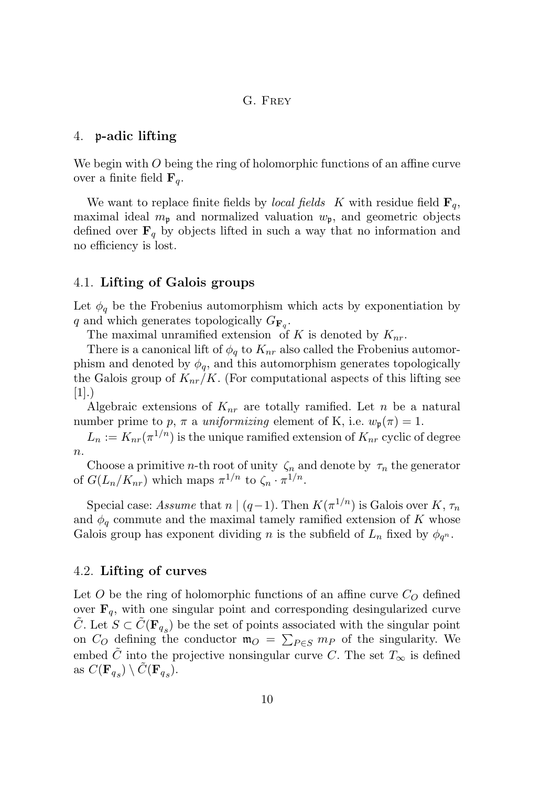#### 4. p**-adic lifting**

We begin with O being the ring of holomorphic functions of an affine curve over a finite field  $\mathbf{F}_q$ .

We want to replace finite fields by *local fields* K with residue field  $\mathbf{F}_q$ , maximal ideal  $m_{\mathfrak{p}}$  and normalized valuation  $w_{\mathfrak{p}}$ , and geometric objects defined over  $\mathbf{F}_q$  by objects lifted in such a way that no information and no efficiency is lost.

#### 4.1. **Lifting of Galois groups**

Let  $\phi_q$  be the Frobenius automorphism which acts by exponentiation by q and which generates topologically  $G_{\mathbf{F}_q}$ .

The maximal unramified extension of K is denoted by  $K_{nr}$ .

There is a canonical lift of  $\phi_q$  to  $K_{nr}$  also called the Frobenius automorphism and denoted by  $\phi_q$ , and this automorphism generates topologically the Galois group of  $K_{nr}/K$ . (For computational aspects of this lifting see  $|1|.$ 

Algebraic extensions of  $K_{nr}$  are totally ramified. Let n be a natural number prime to p,  $\pi$  a *uniformizing* element of K, i.e.  $w_{\mathfrak{p}}(\pi) = 1$ .

 $L_n := K_{nr}(\pi^{1/n})$  is the unique ramified extension of  $K_{nr}$  cyclic of degree  $\overline{n}$ .

Choose a primitive *n*-th root of unity  $\zeta_n$  and denote by  $\tau_n$  the generator of  $G(L_n/K_{nr})$  which maps  $\pi^{1/n}$  to  $\zeta_n \cdot \pi^{1/n}$ .

Special case: *Assume* that  $n | (q-1)$ . Then  $K(\pi^{1/n})$  is Galois over K,  $\tau_n$ and  $\phi_q$  commute and the maximal tamely ramified extension of K whose Galois group has exponent dividing n is the subfield of  $L_n$  fixed by  $\phi_{q^n}$ .

#### 4.2. **Lifting of curves**

Let  $O$  be the ring of holomorphic functions of an affine curve  $C_O$  defined over  $\mathbf{F}_q$ , with one singular point and corresponding desingularized curve  $\tilde{C}$ . Let  $S \subset \tilde{C}(\mathbf{F}_{q_s})$  be the set of points associated with the singular point on  $C_O$  defining the conductor  $\mathfrak{m}_O = \sum_{P \in S} m_P$  of the singularity. We embed C into the projective nonsingular curve C. The set  $T_{\infty}$  is defined as  $C(\mathbf{F}_{q_s}) \setminus \tilde{C}(\mathbf{F}_{q_s}).$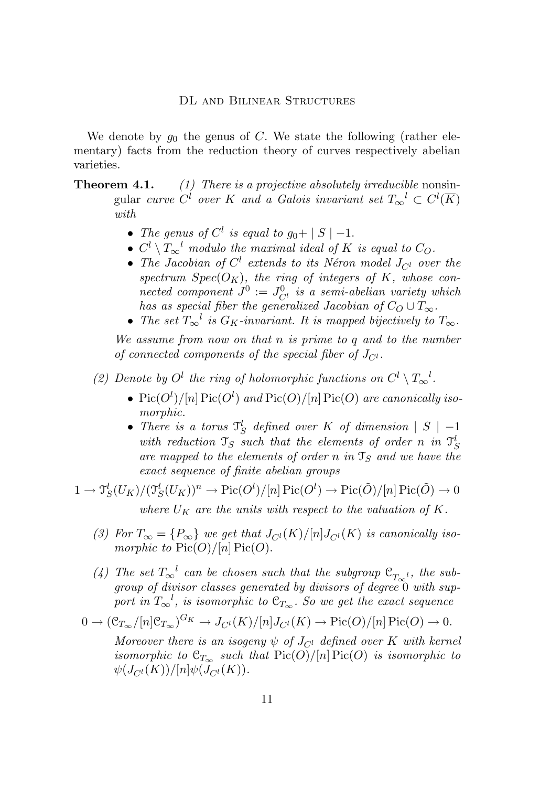<span id="page-11-0"></span>We denote by  $g_0$  the genus of C. We state the following (rather elementary) facts from the reduction theory of curves respectively abelian varieties.

**Theorem 4.1.** *(1) There is a projective absolutely irreducible* nonsingular *curve*  $C^l$  *over* K *and a Galois invariant set*  $T_{\infty}^{\phantom{C}l} \subset C^l(\overline{K})$ *with*

- The genus of  $C^l$  is equal to  $g_0 + |S| 1$ .
- $C^l \setminus T_{\infty}^{\phantom{C}l}$  *modulo the maximal ideal of* K *is equal to*  $C_O$ .
- The Jacobian of  $C^l$  extends to its Néron model  $J_{C^l}$  over the spectrum  $Spec(O_K)$ , the ring of integers of K, whose con- $\emph{ncted component } J^0 := J^0_{Cl}$  is a semi-abelian variety which *has as special fiber the generalized Jacobian of*  $C_O \cup T_\infty$ .
- The set  $T_{\infty}^l$  is  $G_K$ -invariant. It is mapped bijectively to  $T_{\infty}$ .

*We assume from now on that* n *is prime to* q *and to the number of connected components of the special fiber of*  $J_{C}$ *.* 

- (2) Denote by  $O^l$  the ring of holomorphic functions on  $C^l \setminus T_{\infty}^l$ .
	- $Pic(O^l)/[n] Pic(O^l)$  and  $Pic(O)/[n] Pic(O)$  are canonically iso*morphic.*
	- There is a torus  $\mathcal{T}_S^l$  defined over K of dimension  $|S|$  -1 with reduction  $\mathcal{T}_S$  such that the elements of order n in  $\mathcal{T}_S^l$ are mapped to the elements of order  $n$  in  $\mathcal{T}_S$  and we have the *exact sequence of finite abelian groups*

 $1 \to \mathfrak{T}^l_S(U_K)/(\mathfrak{T}^l_S(U_K))^n \to \mathrm{Pic}(O^l)/[n]\,\mathrm{Pic}(O^l) \to \mathrm{Pic}(\tilde{O})/[n]\,\mathrm{Pic}(\tilde{O}) \to 0$ *where*  $U_K$  *are the units with respect to the valuation of* K.

- (3) For  $T_{\infty} = \{P_{\infty}\}\$  *we get that*  $J_{C^{l}}(K)/[n]J_{C^{l}}(K)$  *is canonically isomorphic to*  $Pic(O)/[n] Pic(O)$ .
- (4) The set  $T_{\infty}^l$  can be chosen such that the subgroup  $C_{T_{\infty}^l}$ , the sub*group of divisor classes generated by divisors of degree* 0 *with sup-* ${\mathit port}\,\, in\,\, T_{\infty}^{\phantom{\infty} l},\,\, is\,\, isomorphic\,\, to\,\, \mathfrak{C}_{T_{\infty}}.$  So we get the exact sequence

$$
0 \to (\mathcal{C}_{T_{\infty}}/[n]\mathcal{C}_{T_{\infty}})^{G_K} \to J_{C^l}(K)/[n]J_{C^l}(K) \to Pic(O)/[n]\operatorname{Pic}(O) \to 0.
$$

*Moreover there is an isogeny*  $\psi$  *of*  $J_{C^l}$  *defined over* K *with kernel isomorphic to*  $C_{T_{\infty}}$  *such that*  $Pic(O)/[n] Pic(O)$  *is isomorphic to*  $\psi(J_{C^{l}}(K))/[n]\psi(J_{C^{l}}(K)).$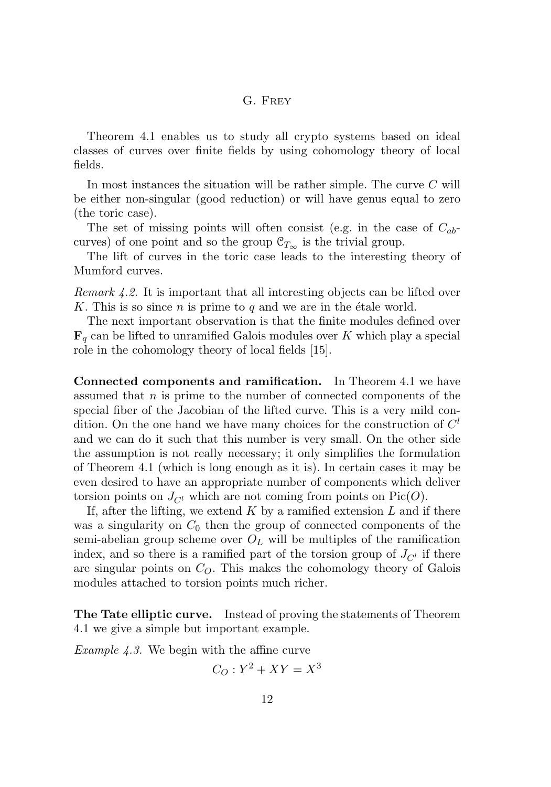Theorem [4.1](#page-11-0) enables us to study all crypto systems based on ideal classes of curves over finite fields by using cohomology theory of local fields.

In most instances the situation will be rather simple. The curve  $C$  will be either non-singular (good reduction) or will have genus equal to zero (the toric case).

The set of missing points will often consist (e.g. in the case of  $C_{ab}$ curves) of one point and so the group  $\mathcal{C}_{T_{\infty}}$  is the trivial group.

The lift of curves in the toric case leads to the interesting theory of Mumford curves.

*Remark 4.2.* It is important that all interesting objects can be lifted over K. This is so since n is prime to q and we are in the étale world.

The next important observation is that the finite modules defined over  $\mathbf{F}_q$  can be lifted to unramified Galois modules over K which play a special role in the cohomology theory of local fields [\[15\]](#page-26-0).

**Connected components and ramification.** In Theorem [4.1](#page-11-0) we have assumed that  $n$  is prime to the number of connected components of the special fiber of the Jacobian of the lifted curve. This is a very mild condition. On the one hand we have many choices for the construction of  $C<sup>l</sup>$ and we can do it such that this number is very small. On the other side the assumption is not really necessary; it only simplifies the formulation of Theorem [4.1](#page-11-0) (which is long enough as it is). In certain cases it may be even desired to have an appropriate number of components which deliver torsion points on  $J_{\mathcal{C}^l}$  which are not coming from points on Pic(O).

If, after the lifting, we extend  $K$  by a ramified extension  $L$  and if there was a singularity on  $C_0$  then the group of connected components of the semi-abelian group scheme over  $O<sub>L</sub>$  will be multiples of the ramification index, and so there is a ramified part of the torsion group of  $J_{\mathcal{C}^l}$  if there are singular points on  $C<sub>O</sub>$ . This makes the cohomology theory of Galois modules attached to torsion points much richer.

**The Tate elliptic curve.** Instead of proving the statements of Theorem [4.1](#page-11-0) we give a simple but important example.

*Example 4.3.* We begin with the affine curve

$$
C_O: Y^2 + XY = X^3
$$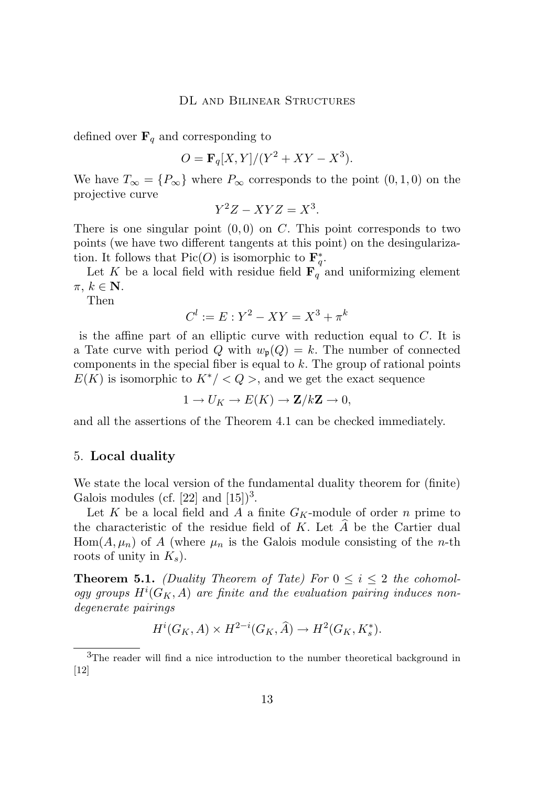defined over  $\mathbf{F}_q$  and corresponding to

$$
O = \mathbf{F}_q[X, Y]/(Y^2 + XY - X^3).
$$

We have  $T_{\infty} = \{P_{\infty}\}\$  where  $P_{\infty}$  corresponds to the point  $(0,1,0)$  on the projective curve

$$
Y^2Z - XYZ = X^3.
$$

There is one singular point  $(0, 0)$  on C. This point corresponds to two points (we have two different tangents at this point) on the desingularization. It follows that  $Pic(O)$  is isomorphic to  $\mathbf{F}_q^*$ .

Let K be a local field with residue field  $\mathbf{F}_q^{\textit{i}}$  and uniformizing element  $\pi, k \in \mathbb{N}$ .

Then

$$
C^l := E : Y^2 - XY = X^3 + \pi^k
$$

is the affine part of an elliptic curve with reduction equal to C. It is a Tate curve with period Q with  $w_p(Q) = k$ . The number of connected components in the special fiber is equal to  $k$ . The group of rational points  $E(K)$  is isomorphic to  $K^*$  / < Q >, and we get the exact sequence

 $1 \rightarrow U_K \rightarrow E(K) \rightarrow \mathbf{Z}/k\mathbf{Z} \rightarrow 0,$ 

and all the assertions of the Theorem [4.1](#page-11-0) can be checked immediately.

#### 5. **Local duality**

We state the local version of the fundamental duality theorem for (finite) Galois modules (cf.  $[22]$  and  $[15]$ )<sup>3</sup>.

Let K be a local field and A a finite  $G_K$ -module of order n prime to the characteristic of the residue field of  $K$ . Let  $A$  be the Cartier dual  $Hom(A, \mu_n)$  of A (where  $\mu_n$  is the Galois module consisting of the *n*-th roots of unity in  $K_s$ ).

**Theorem 5.1.** *(Duality Theorem of Tate)* For  $0 \le i \le 2$  *the cohomol* $ogy\ groups\ H^{i}(G_K, A)\$  are finite and the evaluation pairing induces non*degenerate pairings*

$$
H^i(G_K, A) \times H^{2-i}(G_K, \widehat{A}) \to H^2(G_K, K_s^*).
$$

<sup>3</sup>The reader will find a nice introduction to the number theoretical background in [\[12\]](#page-25-0)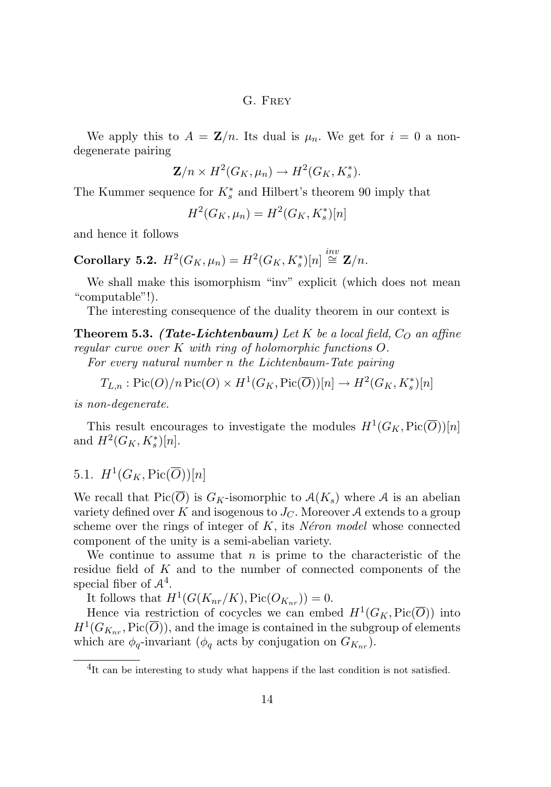<span id="page-14-0"></span>We apply this to  $A = \mathbf{Z}/n$ . Its dual is  $\mu_n$ . We get for  $i = 0$  a nondegenerate pairing

$$
\mathbf{Z}/n \times H^2(G_K, \mu_n) \to H^2(G_K, K_s^*).
$$

The Kummer sequence for  $K_s^*$  and Hilbert's theorem 90 imply that

$$
H^2(G_K, \mu_n) = H^2(G_K, K_s^*)[n]
$$

and hence it follows

 $\textbf{Corollary 5.2.} \ \ H^2(G_K,\mu_n)=H^2(G_K,K_s^*)[n] \stackrel{inv}{\cong} {\mathbf Z}/n.$ 

We shall make this isomorphism "inv" explicit (which does not mean "computable"!).

The interesting consequence of the duality theorem in our context is

**Theorem 5.3.** *(Tate-Lichtenbaum)* Let K be a local field,  $C_O$  an affine *regular curve over* K *with ring of holomorphic functions* O*.*

*For every natural number* n *the Lichtenbaum-Tate pairing*

$$
T_{L,n}: \mathrm{Pic}(O)/n \,\mathrm{Pic}(O) \times H^1(G_K, \mathrm{Pic}(\overline{O}))[n] \to H^2(G_K, K_s^{*})[n]
$$

*is non-degenerate.*

This result encourages to investigate the modules  $H^1(G_K, \text{Pic}(\overline{O}))[n]$ and  $H^2(G_K, K_s^*)[n]$ .

5.1.  $H^1(G_K, \text{Pic}(\overline{O}))[n]$ 

We recall that  $Pic(\overline{O})$  is  $G_K$ -isomorphic to  $\mathcal{A}(K_s)$  where A is an abelian variety defined over K and isogenous to  $J_C$ . Moreover A extends to a group scheme over the rings of integer of K, its *Néron model* whose connected component of the unity is a semi-abelian variety.

We continue to assume that  $n$  is prime to the characteristic of the residue field of  $K$  and to the number of connected components of the special fiber of  $\mathcal{A}^4$ .

It follows that  $H^1(G(K_{nr}/K), Pic(O_{K_{nr}})) = 0$ .

Hence via restriction of cocycles we can embed  $H^1(G_K, \text{Pic}(\overline{O}))$  into  $H^1(G_{K_{nr}}, \text{Pic}(\overline{O}))$ , and the image is contained in the subgroup of elements which are  $\phi_q$ -invariant ( $\phi_q$  acts by conjugation on  $G_{K_{nr}}$ ).

<sup>&</sup>lt;sup>4</sup>It can be interesting to study what happens if the last condition is not satisfied.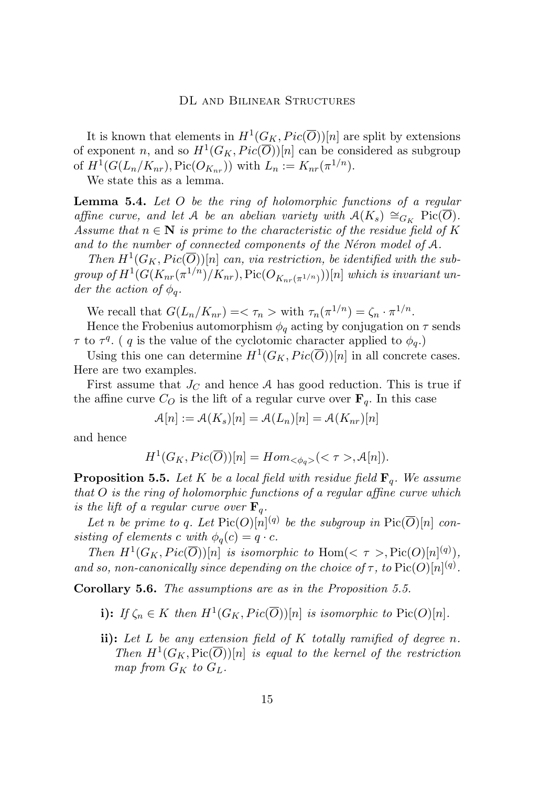It is known that elements in  $H^1(G_K, Pic(\overline{O}))[n]$  are split by extensions of exponent n, and so  $H^1(G_K, Pic(\overline{O}))[n]$  can be considered as subgroup of  $H^1(G(L_n/K_{nr}), Pic(O_{K_{nr}}))$  with  $L_n := K_{nr}(\pi^{1/n}).$ 

We state this as a lemma.

**Lemma 5.4.** *Let* O *be the ring of holomorphic functions of a regular affine curve, and let* A *be an abelian variety with*  $A(K_s) \cong_{G_K} \text{Pic}(\overline{O})$ *. Assume that*  $n \in \mathbb{N}$  *is prime to the characteristic of the residue field of* K *and to the number of connected components of the Néron model of* A*.*

Then  $H^1(G_K, Pic(\overline{O}))[n]$  *can, via restriction, be identified with the sub* $group~of~H^1(G(K_{nr}(\pi^{1/n})/K_{nr}),\mathrm{Pic}(O_{K_{nr}(\pi^{1/n})}))[n]$  which is invariant un*der the action of*  $\phi_q$ *.* 

We recall that  $G(L_n/K_{nr}) = \langle \tau_n \rangle$  with  $\tau_n(\pi^{1/n}) = \zeta_n \cdot \pi^{1/n}$ .

Hence the Frobenius automorphism  $\phi_q$  acting by conjugation on  $\tau$  sends  $\tau$  to  $\tau^q$ . (q is the value of the cyclotomic character applied to  $\phi_q$ .)

Using this one can determine  $H^1(G_K, Pic(\overline{O}))[n]$  in all concrete cases. Here are two examples.

First assume that  $J_C$  and hence A has good reduction. This is true if the affine curve  $C_O$  is the lift of a regular curve over  $\mathbf{F}_q$ . In this case

$$
\mathcal{A}[n] := \mathcal{A}(K_s)[n] = \mathcal{A}(L_n)[n] = \mathcal{A}(K_{nr})[n]
$$

and hence

$$
H^1(G_K, Pic(\overline{O}))[n] = Hom_{\langle \phi_q \rangle}(\langle \tau \rangle, \mathcal{A}[n]).
$$

**Proposition 5.5.** Let K be a local field with residue field  $\mathbf{F}_q$ . We assume *that* O *is the ring of holomorphic functions of a regular affine curve which is the lift of a regular curve over*  $\mathbf{F}_q$ .

Let *n* be prime to q. Let  $Pic(O)[n]^{(q)}$  be the subgroup in  $Pic(\overline{O})[n]$  con*sisting of elements* c *with*  $\phi_q(c) = q \cdot c$ *.* 

*Then*  $H^1(G_K, Pic(\overline{O}))[n]$  *is isomorphic to* Hom( $\lt \tau >$ , Pic(O)[n]<sup>(q)</sup>), *and so, non-canonically since depending on the choice of*  $\tau$ *, to* Pic $(O)[n]^{(q)}$ *.* 

**Corollary 5.6.** *The assumptions are as in the Proposition 5.5.*

- **i):** *If*  $\zeta_n \in K$  *then*  $H^1(G_K, Pic(\overline{O}))[n]$  *is isomorphic to*  $Pic(O)[n]$ *.*
- **ii):** *Let* L *be any extension field of* K *totally ramified of degree* n*.* Then  $H^1(G_K, \text{Pic}(\overline{O}))[n]$  *is equal to the kernel of the restriction map from*  $G_K$  *to*  $G_L$ .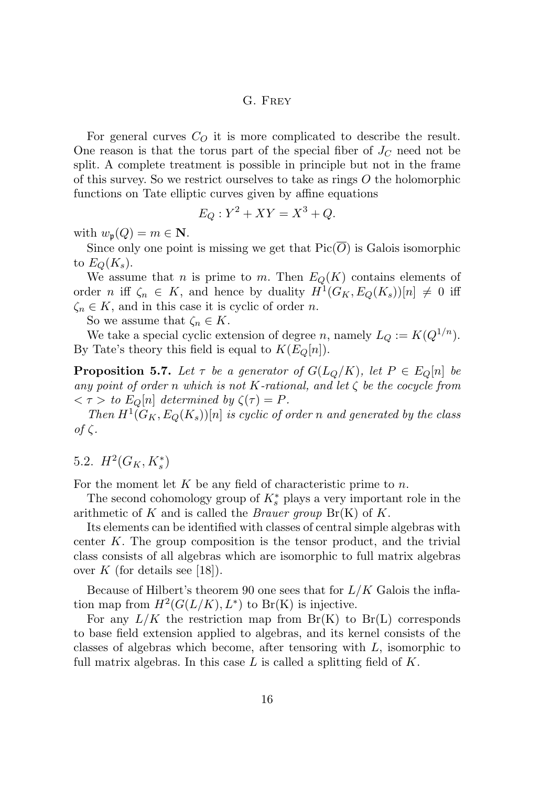<span id="page-16-0"></span>For general curves  $C<sub>O</sub>$  it is more complicated to describe the result. One reason is that the torus part of the special fiber of  $J_C$  need not be split. A complete treatment is possible in principle but not in the frame of this survey. So we restrict ourselves to take as rings  $O$  the holomorphic functions on Tate elliptic curves given by affine equations

$$
E_Q: Y^2 + XY = X^3 + Q.
$$

with  $w_{\mathfrak{p}}(Q) = m \in \mathbb{N}$ .

Since only one point is missing we get that  $Pic(\overline{O})$  is Galois isomorphic to  $E_O(K_s)$ .

We assume that n is prime to m. Then  $E_Q(K)$  contains elements of order *n* iff  $\zeta_n \in K$ , and hence by duality  $H^1(G_K, E_Q(K_s))[n] \neq 0$  iff  $\zeta_n \in K$ , and in this case it is cyclic of order n.

So we assume that  $\zeta_n \in K$ .

We take a special cyclic extension of degree n, namely  $L_Q := K(Q^{1/n})$ . By Tate's theory this field is equal to  $K(E_Q[n])$ .

**Proposition 5.7.** *Let*  $\tau$  *be a generator of*  $G(L_Q/K)$ *, let*  $P \in E_Q[n]$  *be any point of order* n *which is not* K*-rational, and let* ζ *be the cocycle from*  $<\tau>$  *to*  $E_Q[n]$  *determined by*  $\zeta(\tau) = P$ *.* 

*Then*  $H^1(G_K, E_Q(K_s))[n]$  *is cyclic of order n and generated by the class of* ζ*.*

5.2.  $H^2(G_K, K_s^*)$ 

For the moment let  $K$  be any field of characteristic prime to  $n$ .

The second cohomology group of  $K_s^*$  plays a very important role in the arithmetic of K and is called the *Brauer group* Br(K) of K.

Its elements can be identified with classes of central simple algebras with center K. The group composition is the tensor product, and the trivial class consists of all algebras which are isomorphic to full matrix algebras over K (for details see [\[18\]](#page-26-0)).

Because of Hilbert's theorem 90 one sees that for  $L/K$  Galois the inflation map from  $H^2(G(L/K), L^*)$  to Br(K) is injective.

For any  $L/K$  the restriction map from  $Br(K)$  to  $Br(L)$  corresponds to base field extension applied to algebras, and its kernel consists of the classes of algebras which become, after tensoring with L, isomorphic to full matrix algebras. In this case  $L$  is called a splitting field of  $K$ .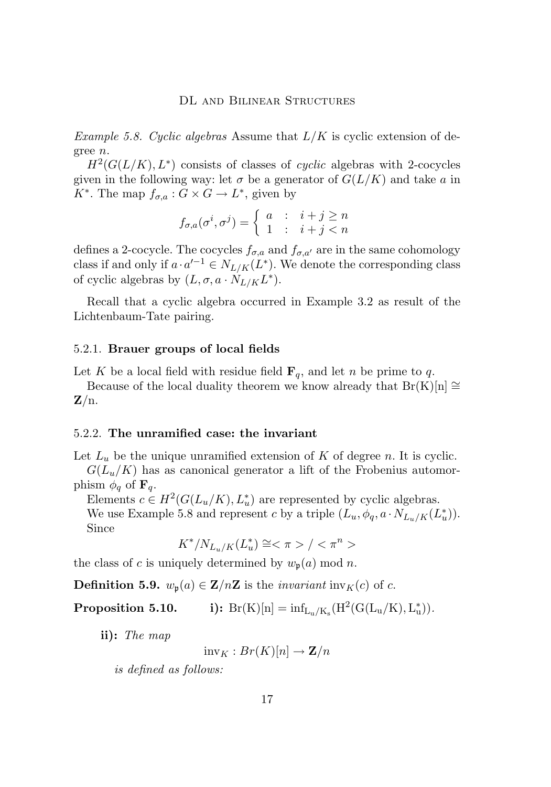*Example 5.8. Cyclic algebras* Assume that L/K is cyclic extension of degree n.

 $H^2(G(L/K), L^*)$  consists of classes of *cyclic* algebras with 2-cocycles given in the following way: let  $\sigma$  be a generator of  $G(L/K)$  and take a in  $K^*$ . The map  $f_{\sigma,a}: G \times G \to L^*$ , given by

$$
f_{\sigma,a}(\sigma^i, \sigma^j) = \left\{ \begin{array}{rcl} a & : & i + j \ge n \\ 1 & : & i + j < n \end{array} \right.
$$

defines a 2-cocycle. The cocycles  $f_{\sigma,a}$  and  $f_{\sigma,a'}$  are in the same cohomology class if and only if  $a \cdot a'^{-1} \in N_{L/K}(L^*)$ . We denote the corresponding class of cyclic algebras by  $(L, \sigma, a \cdot N_{L/K} L^*).$ 

Recall that a cyclic algebra occurred in Example [3.2](#page-6-0) as result of the Lichtenbaum-Tate pairing.

#### 5.2.1. **Brauer groups of local fields**

Let K be a local field with residue field  $\mathbf{F}_q$ , and let n be prime to q.

Because of the local duality theorem we know already that  $Br(K)[n] \cong$  $\mathbf{Z}/n$ .

#### 5.2.2. **The unramified case: the invariant**

Let  $L_u$  be the unique unramified extension of K of degree n. It is cyclic.

 $G(L_u/K)$  has as canonical generator a lift of the Frobenius automorphism  $\phi_q$  of  $\mathbf{F}_q$ .

Elements  $c \in H^2(G(L_u/K), L_u^*)$  are represented by cyclic algebras. We use Example [5.8](#page-16-0) and represent c by a triple  $(L_u, \phi_q, a \cdot N_{L_u/K}(L_u^*))$ . Since

$$
K^*/N_{L_u/K}(L_u^*) \cong \langle \pi \rangle / \langle \pi^n \rangle
$$

the class of c is uniquely determined by  $w_{\mathfrak{p}}(a) \mod n$ .

**Definition 5.9.**  $w_p(a) \in \mathbb{Z}/n\mathbb{Z}$  is the *invariant* inv<sub>K</sub>(c) of c.

**Proposition 5.10. i):**  $Br(K)[n] = \inf_{L_u/K_s}(H^2(G(L_u/K), L_u^*))$ .

**ii):** *The map*

 $inv_K : Br(K)[n] \to \mathbf{Z}/n$ 

*is defined as follows:*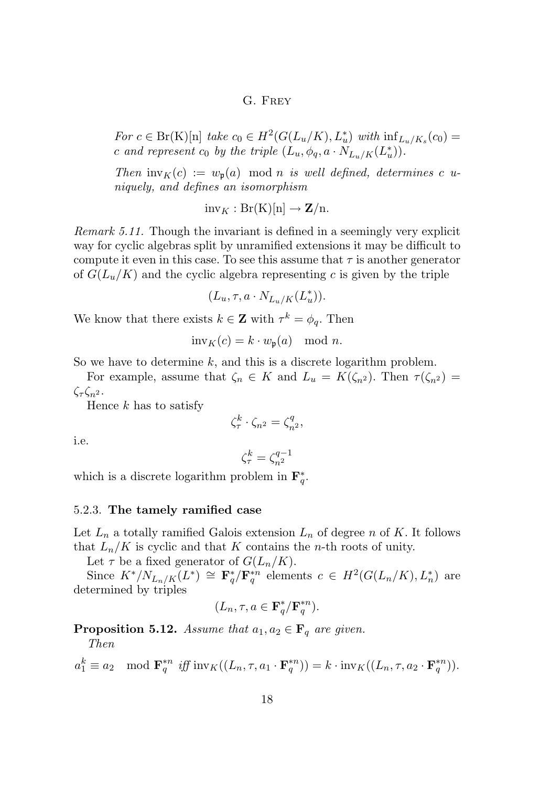<span id="page-18-0"></span>*For*  $c \in Br(K)[n]$  *take*  $c_0 \in H^2(G(L_u/K), L_u^*)$  *with*  $\inf_{L_u/K_s}(c_0) =$ c and represent  $c_0$  by the triple  $(L_u, \phi_q, a \cdot N_{L_u/K}(L_u^*))$ .

*Then*  $inv_K(c) := w_p(a) \mod n$  *is well defined, determines* c *uniquely, and defines an isomorphism*

 $inv_K : Br(K)[n] \rightarrow Z/n.$ 

*Remark 5.11.* Though the invariant is defined in a seemingly very explicit way for cyclic algebras split by unramified extensions it may be difficult to compute it even in this case. To see this assume that  $\tau$  is another generator of  $G(L_u/K)$  and the cyclic algebra representing c is given by the triple

$$
(L_u, \tau, a \cdot N_{L_u/K}(L_u^*)).
$$

We know that there exists  $k \in \mathbb{Z}$  with  $\tau^k = \phi_q$ . Then

$$
inv_K(c) = k \cdot w_{\mathfrak{p}}(a) \mod n.
$$

So we have to determine  $k$ , and this is a discrete logarithm problem.

For example, assume that  $\zeta_n \in K$  and  $L_u = K(\zeta_{n^2})$ . Then  $\tau(\zeta_{n^2}) =$  $\zeta_{\tau} \zeta_{n^2}$ .

Hence  $k$  has to satisfy

$$
\zeta_{\tau}^k \cdot \zeta_{n^2} = \zeta_{n^2}^q,
$$

i.e.

$$
\zeta_{\tau}^k=\zeta_{n^2}^{q-1}
$$

which is a discrete logarithm problem in  $\mathbf{F}_{q}^{*}$ .

#### 5.2.3. **The tamely ramified case**

Let  $L_n$  a totally ramified Galois extension  $L_n$  of degree n of K. It follows that  $L_n/K$  is cyclic and that K contains the n-th roots of unity.

Let  $\tau$  be a fixed generator of  $G(L_n/K)$ .

Since  $K^*/N_{L_n/K}(L^*) \cong \mathbf{F}_q^*/\mathbf{F}_q^{*n}$  elements  $c \in H^2(G(L_n/K), L_n^*)$  are determined by triples

$$
(L_n, \tau, a \in \mathbf{F}_q^* / \mathbf{F}_q^{*n}).
$$

**Proposition 5.12.** *Assume that*  $a_1, a_2 \in \mathbf{F}_q$  *are given. Then*

$$
a_1^k \equiv a_2 \mod \mathbf{F}_q^{*n} \text{ iff } \text{inv}_K((L_n, \tau, a_1 \cdot \mathbf{F}_q^{*n})) = k \cdot \text{inv}_K((L_n, \tau, a_2 \cdot \mathbf{F}_q^{*n})).
$$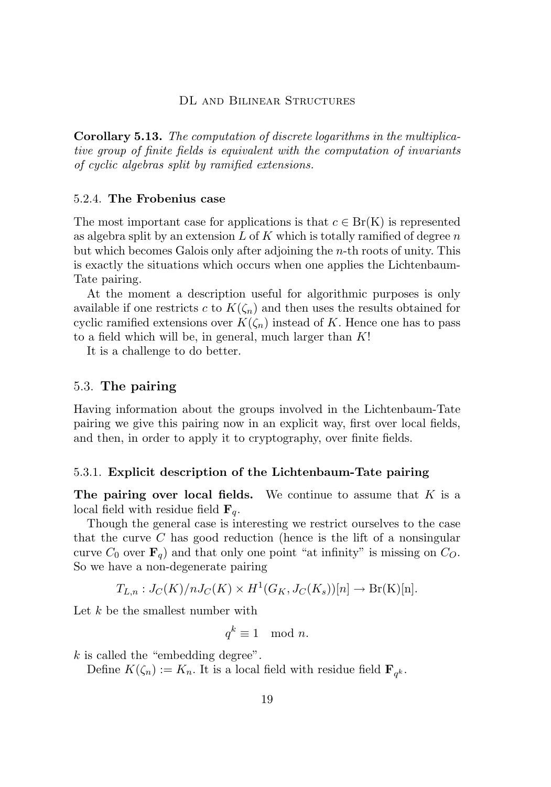**Corollary 5.13.** *The computation of discrete logarithms in the multiplicative group of finite fields is equivalent with the computation of invariants of cyclic algebras split by ramified extensions.*

#### 5.2.4. **The Frobenius case**

The most important case for applications is that  $c \in Br(K)$  is represented as algebra split by an extension  $L$  of  $K$  which is totally ramified of degree n but which becomes Galois only after adjoining the n-th roots of unity. This is exactly the situations which occurs when one applies the Lichtenbaum-Tate pairing.

At the moment a description useful for algorithmic purposes is only available if one restricts c to  $K(\zeta_n)$  and then uses the results obtained for cyclic ramified extensions over  $K(\zeta_n)$  instead of K. Hence one has to pass to a field which will be, in general, much larger than  $K!$ 

It is a challenge to do better.

#### 5.3. **The pairing**

Having information about the groups involved in the Lichtenbaum-Tate pairing we give this pairing now in an explicit way, first over local fields, and then, in order to apply it to cryptography, over finite fields.

#### 5.3.1. **Explicit description of the Lichtenbaum-Tate pairing**

**The pairing over local fields.** We continue to assume that K is a local field with residue field  $\mathbf{F}_q$ .

Though the general case is interesting we restrict ourselves to the case that the curve  $C$  has good reduction (hence is the lift of a nonsingular curve  $C_0$  over  $\mathbf{F}_q$  and that only one point "at infinity" is missing on  $C_0$ . So we have a non-degenerate pairing

$$
T_{L,n}: J_C(K)/nJ_C(K) \times H^1(G_K, J_C(K_s))[n] \to Br(K)[n].
$$

Let  $k$  be the smallest number with

$$
q^k \equiv 1 \mod n.
$$

k is called the "embedding degree".

Define  $K(\zeta_n) := K_n$ . It is a local field with residue field  $\mathbf{F}_{q^k}$ .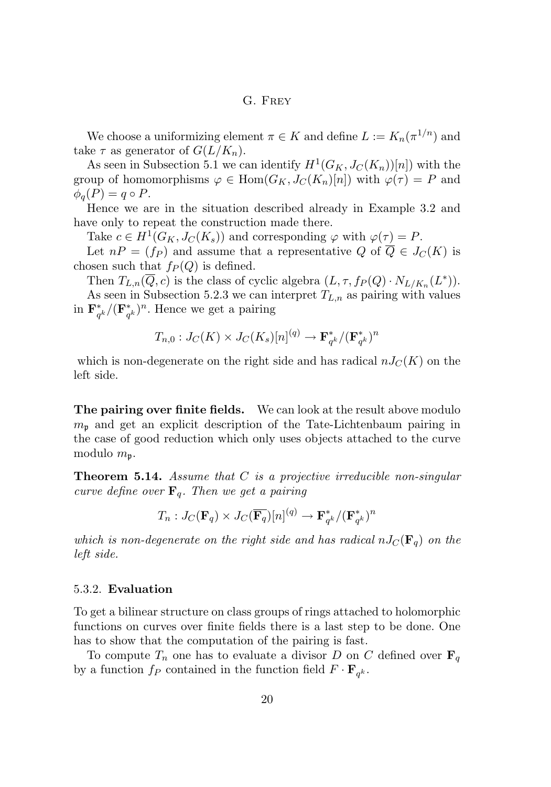We choose a uniformizing element  $\pi \in K$  and define  $L := K_n(\pi^{1/n})$  and take  $\tau$  as generator of  $G(L/K_n)$ .

As seen in Subsection [5.1](#page-14-0) we can identify  $H^1(G_K, J_C(K_n))[n]$  with the group of homomorphisms  $\varphi \in \text{Hom}(G_K, J_C(K_n)[n])$  with  $\varphi(\tau) = P$  and  $\phi_q(P) = q \circ P$ .

Hence we are in the situation described already in Example [3.2](#page-6-0) and have only to repeat the construction made there.

Take  $c \in H^1(G_K, J_C(K_s))$  and corresponding  $\varphi$  with  $\varphi(\tau) = P$ .

Let  $nP = (f_P)$  and assume that a representative Q of  $\overline{Q} \in J_C(K)$  is chosen such that  $f_P(Q)$  is defined.

Then  $T_{L,n}(\overline{Q}, c)$  is the class of cyclic algebra  $(L, \tau, f_P(Q) \cdot N_{L/K_n}(L^*))$ . As seen in Subsection [5.2.3](#page-18-0) we can interpret  $T_{L,n}$  as pairing with values in  $\mathbf{F}_a^*$  $_{q^{k}}^{\ast }/(\mathbf{F}_{q}^{\ast }% )=\alpha _{q^{k}}^{\ast }\in \mathbf{R}$  $_{q^k}^{\ast})^n$ . Hence we get a pairing

$$
T_{n,0}: J_C(K) \times J_C(K_s)[n]^{(q)} \to \mathbf{F}_{q^k}^*/(\mathbf{F}_{q^k}^*)^n
$$

which is non-degenerate on the right side and has radical  $nJ_C(K)$  on the left side.

**The pairing over finite fields.** We can look at the result above modulo  $m_{\mathfrak{p}}$  and get an explicit description of the Tate-Lichtenbaum pairing in the case of good reduction which only uses objects attached to the curve modulo  $m_{\mathfrak{p}}$ .

**Theorem 5.14.** *Assume that* C *is a projective irreducible non-singular curve define over*  $\mathbf{F}_q$ *. Then we get a pairing* 

$$
T_n: J_C(\mathbf{F}_q) \times J_C(\overline{\mathbf{F}_q})[n]^{(q)} \to \mathbf{F}_{q^k}^*/(\mathbf{F}_{q^k}^*)^n
$$

*which is non-degenerate on the right side and has radical*  $nJ_C(\mathbf{F}_q)$  *on the left side.*

#### 5.3.2. **Evaluation**

To get a bilinear structure on class groups of rings attached to holomorphic functions on curves over finite fields there is a last step to be done. One has to show that the computation of the pairing is fast.

To compute  $T_n$  one has to evaluate a divisor D on C defined over  $\mathbf{F}_q$ by a function  $f_P$  contained in the function field  $F \cdot \mathbf{F}_{q^k}$ .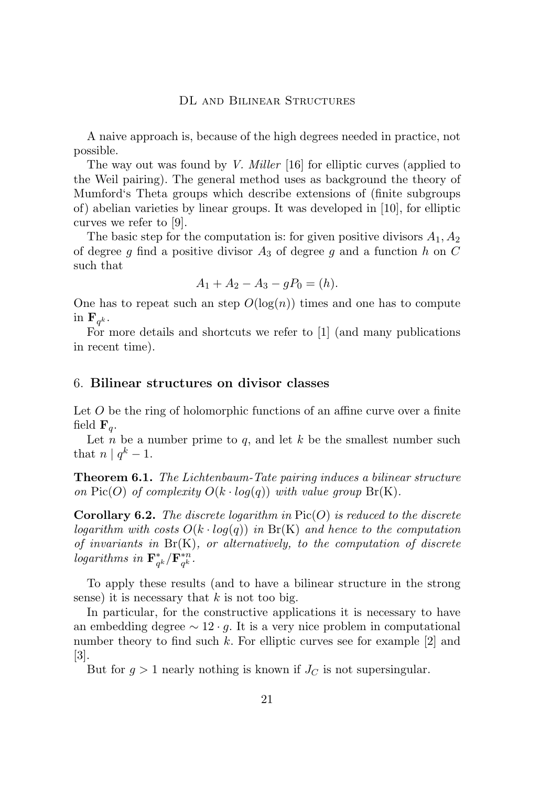A naive approach is, because of the high degrees needed in practice, not possible.

The way out was found by *V. Miller* [\[16\]](#page-26-0) for elliptic curves (applied to the Weil pairing). The general method uses as background the theory of Mumford's Theta groups which describe extensions of (finite subgroups of) abelian varieties by linear groups. It was developed in [\[10\]](#page-25-0), for elliptic curves we refer to [\[9\]](#page-25-0).

The basic step for the computation is: for given positive divisors  $A_1, A_2$ of degree g find a positive divisor  $A_3$  of degree g and a function h on C such that

$$
A_1 + A_2 - A_3 - gP_0 = (h).
$$

One has to repeat such an step  $O(\log(n))$  times and one has to compute in  $\mathbf{F}_{q^k}$ .

For more details and shortcuts we refer to [\[1\]](#page-24-0) (and many publications in recent time).

#### 6. **Bilinear structures on divisor classes**

Let  $O$  be the ring of holomorphic functions of an affine curve over a finite field  $\mathbf{F}_a$ .

Let  $n$  be a number prime to  $q$ , and let  $k$  be the smallest number such that  $n \mid q^k - 1$ .

**Theorem 6.1.** *The Lichtenbaum-Tate pairing induces a bilinear structure on* Pic(O) *of complexity*  $O(k \cdot log(q))$  *with value group*  $Br(K)$ *.* 

**Corollary 6.2.** *The discrete logarithm in* Pic(O) *is reduced to the discrete logarithm with costs*  $O(k \cdot log(q))$  *in*  $Br(K)$  *and hence to the computation of invariants in* Br(K)*, or alternatively, to the computation of discrete logarithms in* F ∗  $_{q^{k}}^{\ast }/\overline{\mathbf{F}}_{q^{k}}^{\ast n}$  $_{q^k}^{*n}.$ 

To apply these results (and to have a bilinear structure in the strong sense) it is necessary that  $k$  is not too big.

In particular, for the constructive applications it is necessary to have an embedding degree  $\sim 12 \cdot g$ . It is a very nice problem in computational number theory to find such  $k$ . For elliptic curves see for example [\[2\]](#page-24-0) and [\[3\]](#page-25-0).

But for  $g > 1$  nearly nothing is known if  $J_C$  is not supersingular.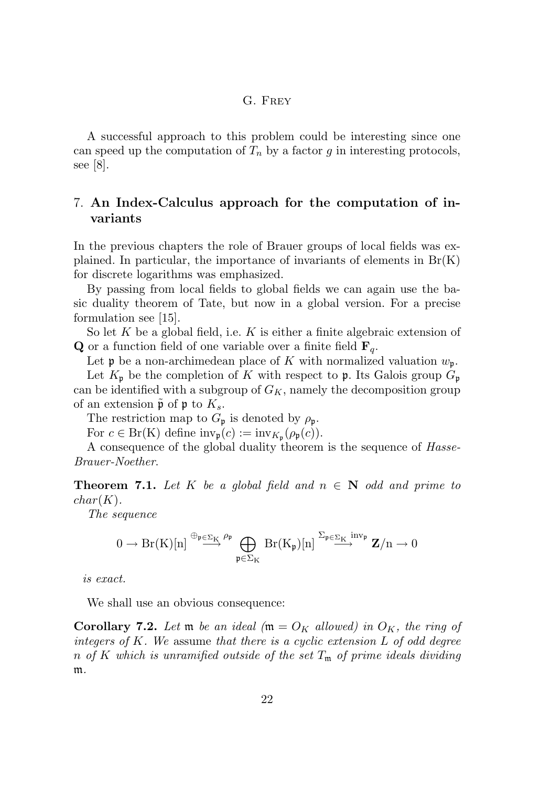<span id="page-22-0"></span>A successful approach to this problem could be interesting since one can speed up the computation of  $T_n$  by a factor g in interesting protocols, see [\[8\]](#page-25-0).

#### 7. **An Index-Calculus approach for the computation of invariants**

In the previous chapters the role of Brauer groups of local fields was explained. In particular, the importance of invariants of elements in  $Br(K)$ for discrete logarithms was emphasized.

By passing from local fields to global fields we can again use the basic duality theorem of Tate, but now in a global version. For a precise formulation see [\[15\]](#page-26-0).

So let  $K$  be a global field, i.e.  $K$  is either a finite algebraic extension of **Q** or a function field of one variable over a finite field  $\mathbf{F}_q$ .

Let **p** be a non-archimedean place of K with normalized valuation  $w_p$ .

Let  $K_{\mathfrak{p}}$  be the completion of K with respect to **p**. Its Galois group  $G_{\mathfrak{p}}$ can be identified with a subgroup of  $G_K$ , namely the decomposition group of an extension  $\tilde{\mathfrak{p}}$  of  $\mathfrak{p}$  to  $K_s$ .

The restriction map to  $G_{\mathfrak{p}}$  is denoted by  $\rho_{\mathfrak{p}}$ .

For  $c \in Br(K)$  define  $inv_{\mathfrak{p}}(c) := inv_{K_{\mathfrak{p}}}(\rho_{\mathfrak{p}}(c)).$ 

A consequence of the global duality theorem is the sequence of *Hasse-Brauer-Noether*.

**Theorem 7.1.** *Let* K *be a global field and*  $n \in \mathbb{N}$  *odd and prime to*  $char(K)$ .

*The sequence*

$$
0 \to \mathrm{Br}(K)[n] \stackrel{\oplus_{\mathfrak{p}\in \Sigma_K} \rho_{\mathfrak{p}}}{\longrightarrow} \bigoplus_{\mathfrak{p}\in \Sigma_K} \mathrm{Br}(K_{\mathfrak{p}})[n] \stackrel{\Sigma_{\mathfrak{p}\in \Sigma_K} \mathrm{inv}_{\mathfrak{p}}}{\longrightarrow} \mathbf{Z}/n \to 0
$$

*is exact.*

We shall use an obvious consequence:

**Corollary 7.2.** Let **m** be an ideal  $(\mathfrak{m} = O_K$  allowed) in  $O_K$ , the ring of *integers of* K*. We* assume *that there is a cyclic extension* L *of odd degree n* of K which is unramified outside of the set  $T_m$  of prime ideals dividing m*.*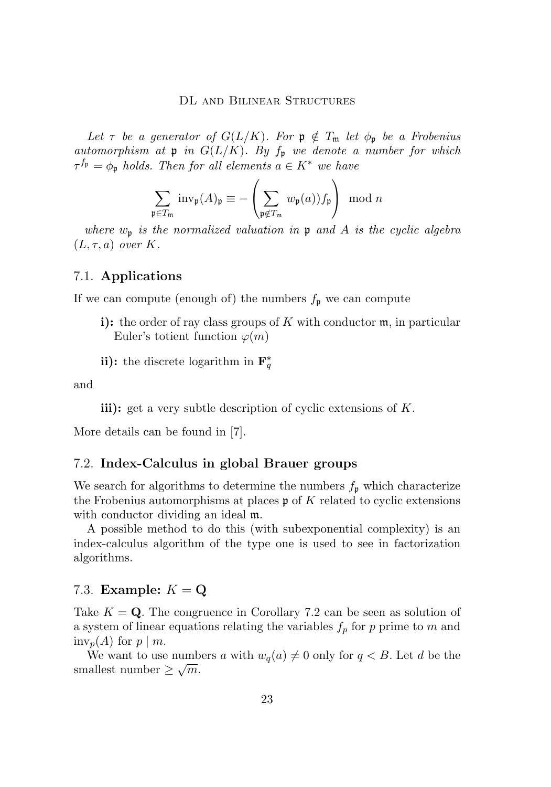*Let*  $\tau$  *be a generator of*  $G(L/K)$ *. For*  $\mathfrak{p} \notin T_{\mathfrak{m}}$  *let*  $\phi_{\mathfrak{p}}$  *be a Frobenius* automorphism at  $\mathfrak{p}$  in  $G(L/K)$ *. By*  $f_{\mathfrak{p}}$  *we denote a number for which*  $\tau^{f_{\mathfrak{p}}} = \phi_{\mathfrak{p}}$  *holds. Then for all elements*  $a \in K^*$  *we have* 

$$
\sum_{\mathfrak{p} \in T_{\mathfrak{m}}} \text{inv}_{\mathfrak{p}}(A)_{\mathfrak{p}} \equiv - \left( \sum_{\mathfrak{p} \notin T_{\mathfrak{m}}} w_{\mathfrak{p}}(a) \right) f_{\mathfrak{p}} \right) \mod n
$$

*where* w<sup>p</sup> *is the normalized valuation in* p *and* A *is the cyclic algebra*  $(L, \tau, a)$  *over* K.

#### 7.1. **Applications**

If we can compute (enough of) the numbers  $f_{\mathfrak{p}}$  we can compute

- **i):** the order of ray class groups of K with conductor  $m$ , in particular Euler's totient function  $\varphi(m)$
- **ii):** the discrete logarithm in  $\mathbf{F}_q^*$

and

**iii):** get a very subtle description of cyclic extensions of K.

More details can be found in [\[7\]](#page-25-0).

#### 7.2. **Index-Calculus in global Brauer groups**

We search for algorithms to determine the numbers  $f_{\mathfrak{p}}$  which characterize the Frobenius automorphisms at places  $\mathfrak p$  of K related to cyclic extensions with conductor dividing an ideal m.

A possible method to do this (with subexponential complexity) is an index-calculus algorithm of the type one is used to see in factorization algorithms.

#### 7.3. **Example:**  $K = \mathbf{Q}$

Take  $K = \mathbf{Q}$ . The congruence in Corollary [7.2](#page-22-0) can be seen as solution of a system of linear equations relating the variables  $f_p$  for p prime to m and  $inv_p(A)$  for  $p \mid m$ .

We want to use numbers a with  $w_q(a) \neq 0$  only for  $q < B$ . Let d be the smallest number  $\geq \sqrt{m}$ .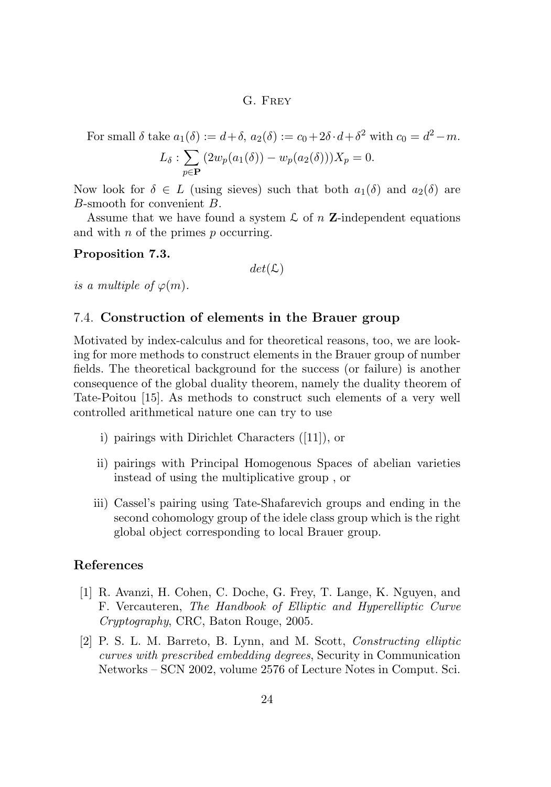<span id="page-24-0"></span>For small  $\delta$  take  $a_1(\delta) := d + \delta$ ,  $a_2(\delta) := c_0 + 2\delta \cdot d + \delta^2$  with  $c_0 = d^2 - m$ .

$$
L_{\delta}: \sum_{p \in \mathbf{P}} (2w_p(a_1(\delta)) - w_p(a_2(\delta)))X_p = 0.
$$

Now look for  $\delta \in L$  (using sieves) such that both  $a_1(\delta)$  and  $a_2(\delta)$  are B-smooth for convenient B.

Assume that we have found a system  $\mathcal L$  of n **Z**-independent equations and with  $n$  of the primes  $p$  occurring.

#### **Proposition 7.3.**

 $det(\mathcal{L})$ 

*is a multiple of*  $\varphi(m)$ *.* 

#### 7.4. **Construction of elements in the Brauer group**

Motivated by index-calculus and for theoretical reasons, too, we are looking for more methods to construct elements in the Brauer group of number fields. The theoretical background for the success (or failure) is another consequence of the global duality theorem, namely the duality theorem of Tate-Poitou [\[15\]](#page-26-0). As methods to construct such elements of a very well controlled arithmetical nature one can try to use

- i) pairings with Dirichlet Characters ([\[11\]](#page-25-0)), or
- ii) pairings with Principal Homogenous Spaces of abelian varieties instead of using the multiplicative group , or
- iii) Cassel's pairing using Tate-Shafarevich groups and ending in the second cohomology group of the idele class group which is the right global object corresponding to local Brauer group.

#### **References**

- [1] R. Avanzi, H. Cohen, C. Doche, G. Frey, T. Lange, K. Nguyen, and F. Vercauteren, *The Handbook of Elliptic and Hyperelliptic Curve Cryptography*, CRC, Baton Rouge, 2005.
- [2] P. S. L. M. Barreto, B. Lynn, and M. Scott, *Constructing elliptic curves with prescribed embedding degrees*, Security in Communication Networks – SCN 2002, volume 2576 of Lecture Notes in Comput. Sci.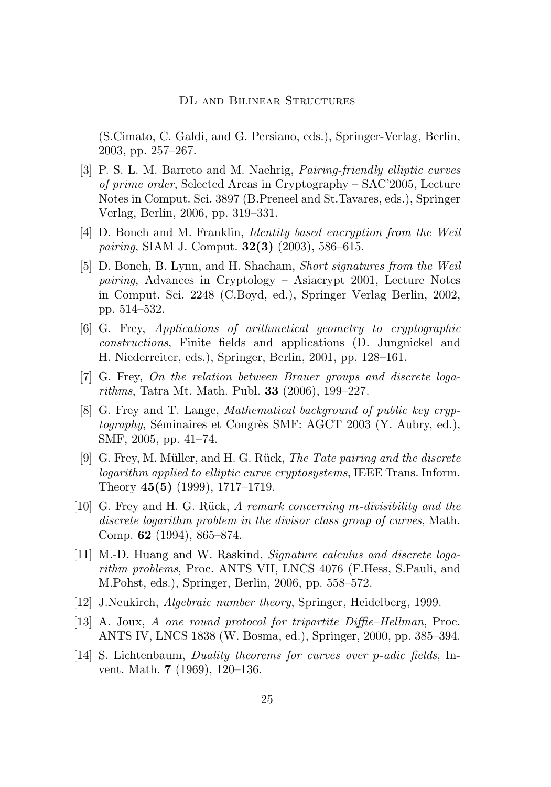<span id="page-25-0"></span>(S.Cimato, C. Galdi, and G. Persiano, eds.), Springer-Verlag, Berlin, 2003, pp. 257–267.

- [3] P. S. L. M. Barreto and M. Naehrig, *Pairing-friendly elliptic curves of prime order*, Selected Areas in Cryptography – SAC'2005, Lecture Notes in Comput. Sci. 3897 (B.Preneel and St.Tavares, eds.), Springer Verlag, Berlin, 2006, pp. 319–331.
- [4] D. Boneh and M. Franklin, *Identity based encryption from the Weil pairing*, SIAM J. Comput. **32(3)** (2003), 586–615.
- [5] D. Boneh, B. Lynn, and H. Shacham, *Short signatures from the Weil pairing*, Advances in Cryptology – Asiacrypt 2001, Lecture Notes in Comput. Sci. 2248 (C.Boyd, ed.), Springer Verlag Berlin, 2002, pp. 514–532.
- [6] G. Frey, *Applications of arithmetical geometry to cryptographic constructions*, Finite fields and applications (D. Jungnickel and H. Niederreiter, eds.), Springer, Berlin, 2001, pp. 128–161.
- [7] G. Frey, *On the relation between Brauer groups and discrete logarithms*, Tatra Mt. Math. Publ. **33** (2006), 199–227.
- [8] G. Frey and T. Lange, *Mathematical background of public key cryptography*, Séminaires et Congrès SMF: AGCT 2003 (Y. Aubry, ed.), SMF, 2005, pp. 41–74.
- [9] G. Frey, M. Müller, and H. G. Rück, *The Tate pairing and the discrete logarithm applied to elliptic curve cryptosystems*, IEEE Trans. Inform. Theory **45(5)** (1999), 1717–1719.
- [10] G. Frey and H. G. Rück, *A remark concerning* m*-divisibility and the discrete logarithm problem in the divisor class group of curves*, Math. Comp. **62** (1994), 865–874.
- [11] M.-D. Huang and W. Raskind, *Signature calculus and discrete logarithm problems*, Proc. ANTS VII, LNCS 4076 (F.Hess, S.Pauli, and M.Pohst, eds.), Springer, Berlin, 2006, pp. 558–572.
- [12] J.Neukirch, *Algebraic number theory*, Springer, Heidelberg, 1999.
- [13] A. Joux, *A one round protocol for tripartite Diffie–Hellman*, Proc. ANTS IV, LNCS 1838 (W. Bosma, ed.), Springer, 2000, pp. 385–394.
- [14] S. Lichtenbaum, *Duality theorems for curves over* p*-adic fields*, Invent. Math. **7** (1969), 120–136.